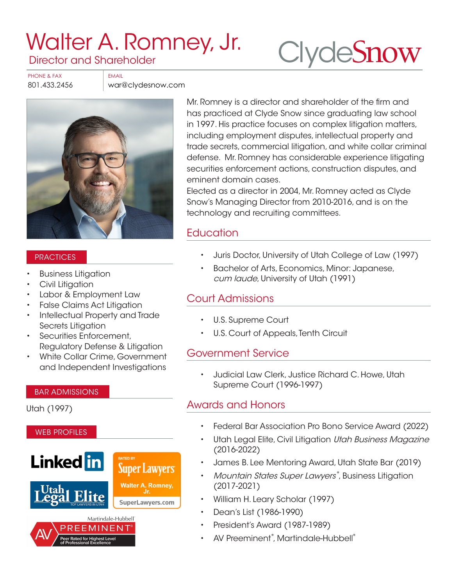# [Walter A. Romney, Jr.](https://www.clydesnow.com/attorneys/22-Walter-A-Romney)  Director and Shareholder

**Clyde[Snow](http://www.clydesnow.com)** 

PHONE & FAX FAX FMAIL

801.433.2456 war@clydesnow.com



#### **PRACTICES**

- Business Litigation
- Civil Litigation
- Labor & Employment Law
- False Claims Act Litigation
- Intellectual Property and Trade Secrets Litigation
- Securities Enforcement, Regulatory Defense & Litigation
- White Collar Crime, Government and Independent Investigations

#### BAR ADMISSIONS

Utah (1997)



Mr. Romney is a director and shareholder of the firm and has practiced at Clyde Snow since graduating law school in 1997. His practice focuses on complex litigation matters, including employment disputes, intellectual property and trade secrets, commercial litigation, and white collar criminal defense. Mr. Romney has considerable experience litigating securities enforcement actions, construction disputes, and eminent domain cases.

Elected as a director in 2004, Mr. Romney acted as Clyde Snow's Managing Director from 2010-2016, and is on the technology and recruiting committees.

## **Education**

- Juris Doctor, University of Utah College of Law (1997)
- Bachelor of Arts, Economics, Minor: Japanese, cum laude, University of Utah (1991)

### Court Admissions

- U.S. Supreme Court
- U.S. Court of Appeals, Tenth Circuit

#### Government Service

• Judicial Law Clerk, Justice Richard C. Howe, Utah Supreme Court (1996-1997)

#### Awards and Honors

- Federal Bar Association Pro Bono Service Award (2022)
- Utah Legal Elite, Civil Litigation Utah Business Magazine (2016-2022)
- James B. Lee Mentoring Award, Utah State Bar (2019)
- Mountain States Super Lawyers®, Business Litigation (2017-2021)
- William H. Leary Scholar (1997)
- Dean's List (1986-1990)
- President's Award (1987-1989)
- AV Preeminent®, Martindale-Hubbell®